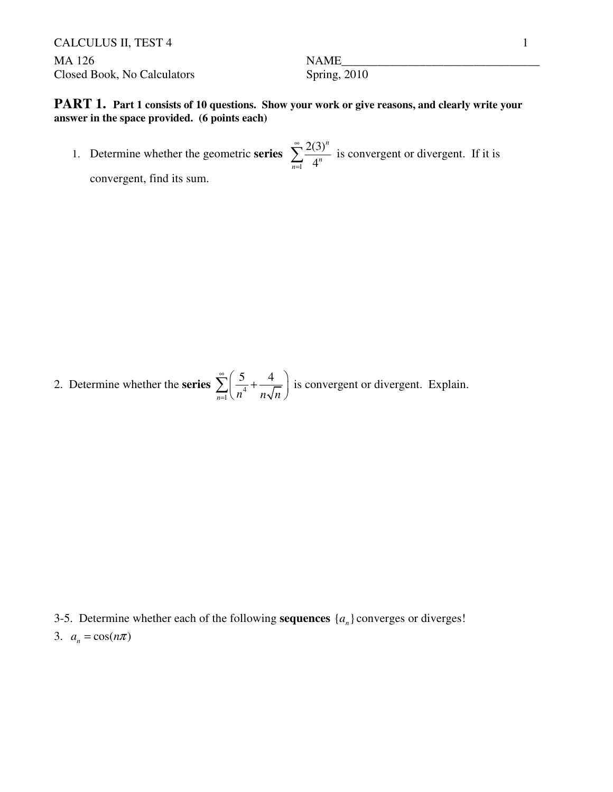CALCULUS II, TEST 4 1 MA 126 **Maximum** NAME Closed Book, No Calculators Spring, 2010

**PART 1.** Part 1 consists of 10 questions. Show your work or give reasons, and clearly write your **answer in the space provided. (6 points each)**

1. Determine whether the geometric **series** 1 2(3) 4 *n*  $\sum_{n=1}$  4<sup>n</sup> ∞  $\sum_{n=1}^{\infty} \frac{2(3)^n}{4^n}$  is convergent or divergent. If it is

convergent, find its sum.

2. Determine whether the **series**  $\sum_{n=1}^{\infty} \left( \frac{3}{n^4} \right)$ 5 4  $\sum_{n=1}^{\infty}$   $\binom{n^4}{n}$  *n*  $\sqrt{n}$ ∞ =  $\sum_{n=1}^{\infty} \left( \frac{5}{n^4} + \frac{4}{n\sqrt{n}} \right)$  is convergent or divergent. Explain.

- 3-5. Determine whether each of the following **sequences**  $\{a_n\}$  converges or diverges!
- 3.  $a_n = \cos(n\pi)$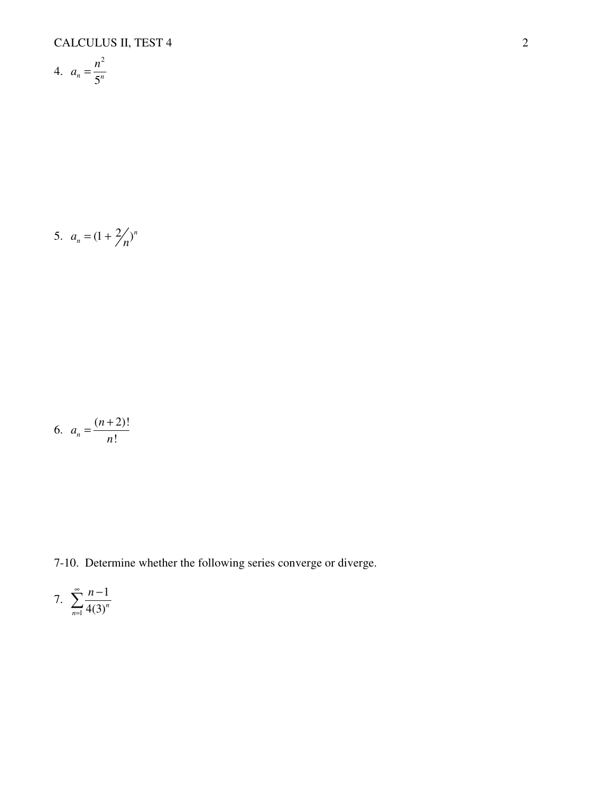$$
4. \quad a_n = \frac{n^2}{5^n}
$$

5. 
$$
a_n = (1 + \frac{2}{n})^n
$$

$$
6. \quad a_n = \frac{(n+2)!}{n!}
$$

7-10. Determine whether the following series converge or diverge.

7. 
$$
\sum_{n=1}^{\infty} \frac{n-1}{4(3)^n}
$$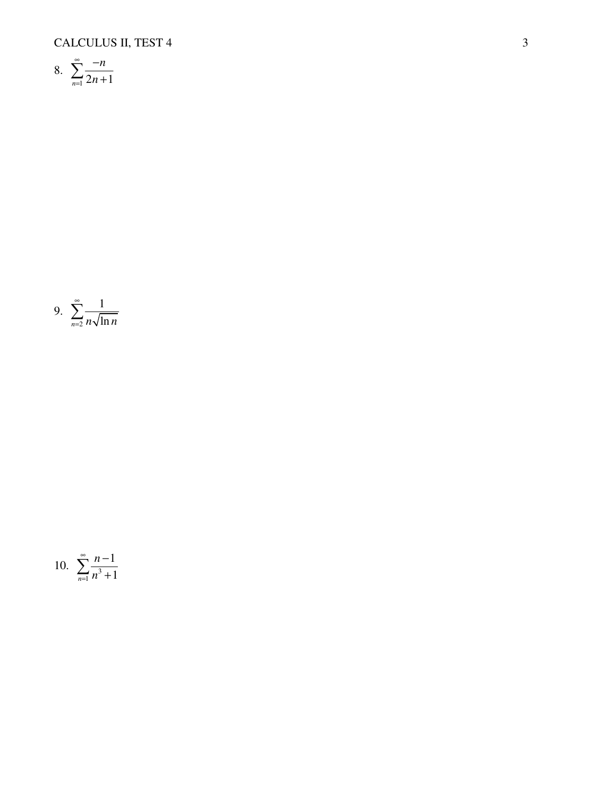CALCULUS II, TEST 4

8. 
$$
\sum_{n=1}^{\infty} \frac{-n}{2n+1}
$$

9. 
$$
\sum_{n=2}^{\infty} \frac{1}{n\sqrt{\ln n}}
$$

10. 
$$
\sum_{n=1}^{\infty} \frac{n-1}{n^3+1}
$$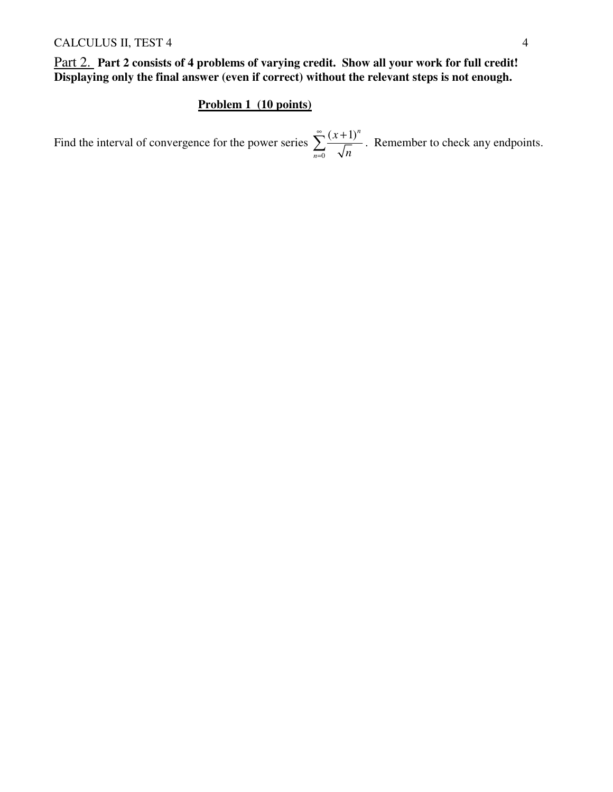Part 2. **Part 2 consists of 4 problems of varying credit. Show all your work for full credit! Displaying only the final answer (even if correct) without the relevant steps is not enough.** 

## **Problem 1 (10 points)**

Find the interval of convergence for the power series 0  $(x+1)^n$ *n x n* ∞ =  $\sum_{r=1}^{\infty} \frac{(x+1)^n}{r}$ . Remember to check any endpoints.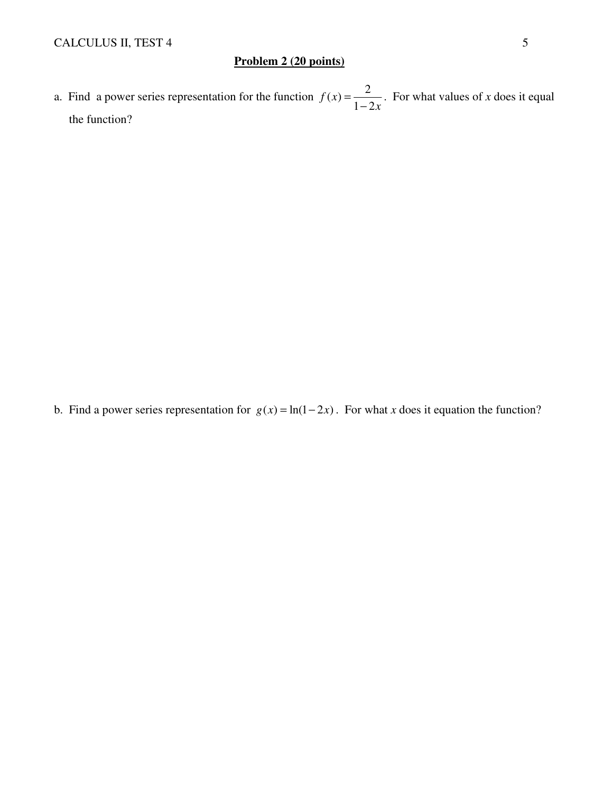## **Problem 2 (20 points)**

a. Find a power series representation for the function  $f(x) = \frac{2}{x-4}$  $1 - 2$ *f x x* =  $\frac{2}{-2x}$ . For what values of *x* does it equal the function?

b. Find a power series representation for  $g(x) = ln(1-2x)$ . For what *x* does it equation the function?